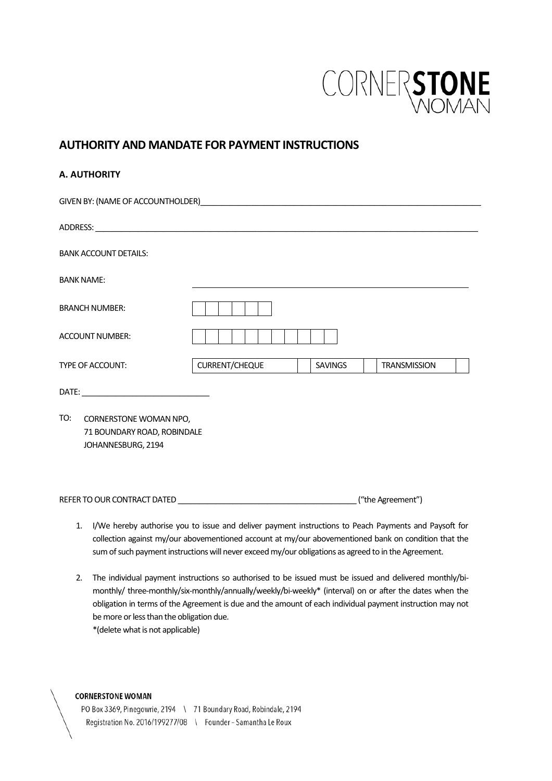

# **AUTHORITY AND MANDATE FOR PAYMENT INSTRUCTIONS**

# **A. AUTHORITY**

| GIVEN BY: (NAME OF ACCOUNTHOLDER) And the contract of the contract of the contract of the contract of the contract of the contract of the contract of the contract of the contract of the contract of the contract of the cont |                |                |                     |
|--------------------------------------------------------------------------------------------------------------------------------------------------------------------------------------------------------------------------------|----------------|----------------|---------------------|
|                                                                                                                                                                                                                                |                |                |                     |
| <b>BANK ACCOUNT DETAILS:</b>                                                                                                                                                                                                   |                |                |                     |
| <b>BANK NAME:</b>                                                                                                                                                                                                              |                |                |                     |
| <b>BRANCH NUMBER:</b>                                                                                                                                                                                                          |                |                |                     |
| <b>ACCOUNT NUMBER:</b>                                                                                                                                                                                                         |                |                |                     |
| <b>TYPE OF ACCOUNT:</b>                                                                                                                                                                                                        | CURRENT/CHEQUE | <b>SAVINGS</b> | <b>TRANSMISSION</b> |
|                                                                                                                                                                                                                                |                |                |                     |
| TO:<br>CORNERSTONE WOMAN NPO,<br>71 BOUNDARY ROAD, ROBINDALE<br>JOHANNESBURG, 2194                                                                                                                                             |                |                |                     |
|                                                                                                                                                                                                                                |                |                |                     |

- 1. I/We hereby authorise you to issue and deliver payment instructions to Peach Payments and Paysoft for collection against my/our abovementioned account at my/our abovementioned bank on condition that the sum of such payment instructions will never exceed my/our obligations as agreed to in the Agreement.
- 2. The individual payment instructions so authorised to be issued must be issued and delivered monthly/bimonthly/ three-monthly/six-monthly/annually/weekly/bi-weekly\* (interval) on or after the dates when the obligation in terms of the Agreement is due and the amount of each individual payment instruction may not be more or less than the obligation due. \*(delete what is not applicable)

#### **CORNERSTONE WOMAN**

PO Box 3369, Pinegowrie, 2194 \ 71 Boundary Road, Robindale, 2194 Registration No. 2016/199277/08 \ Founder - Samantha Le Roux